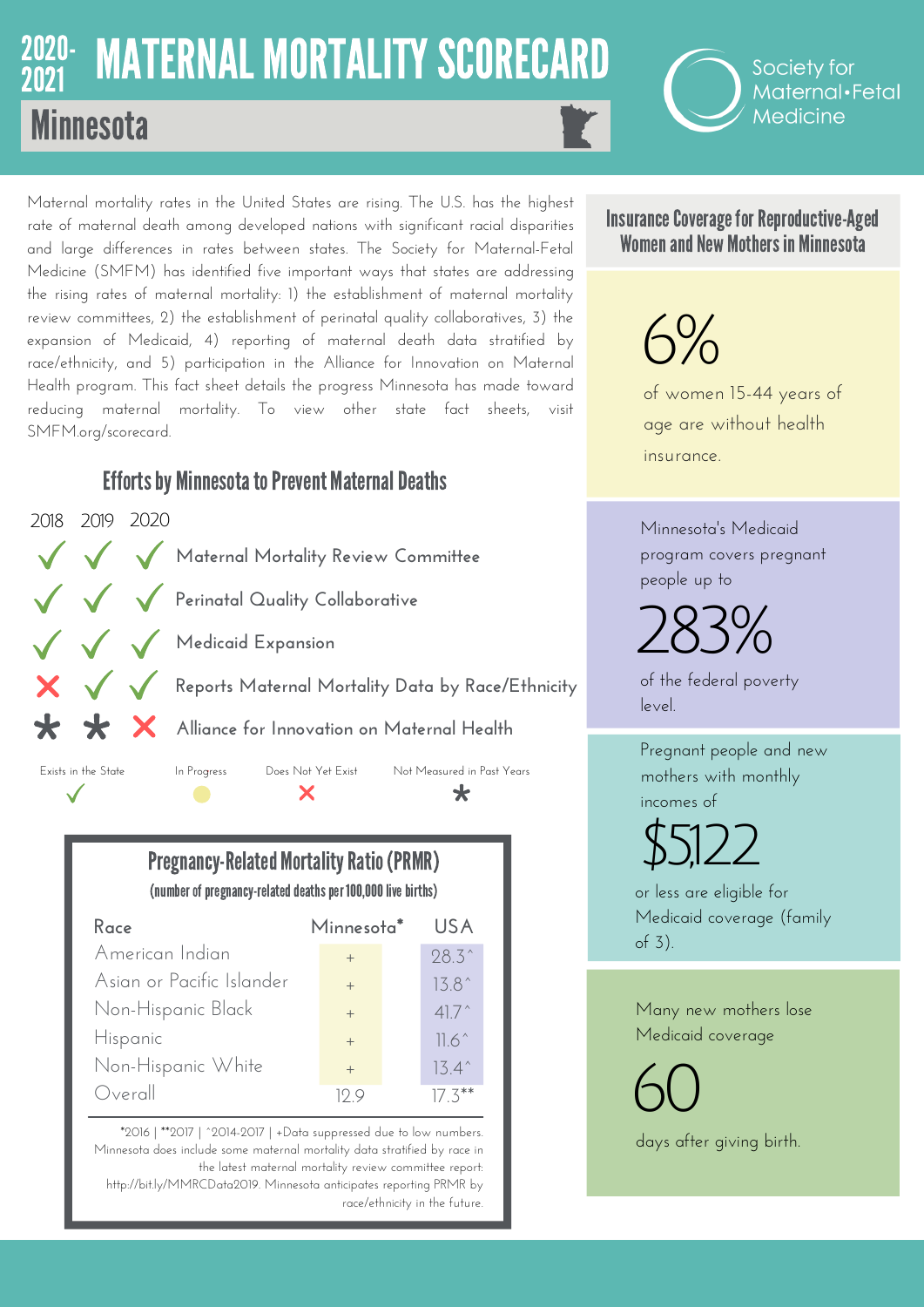## 2020- MATERNAL MORTALITY SCORECARD **Minnesota** 2021

Society for Maternal·Fetal Medicine

Maternal mortality rates in the United States are rising. The U.S. has the highest rate of maternal death among developed nations with significant racial disparities and large differences in rates between states. The Society for Maternal-Fetal Medicine (SMFM) has identified five important ways that states are addressing the rising rates of maternal mortality: 1) the establishment of maternal mortality review committees, 2) the establishment of perinatal quality collaboratives, 3) the expansion of Medicaid, 4) reporting of maternal death data stratified by race/ethnicity, and 5) participation in the Alliance for Innovation on Maternal Health program. This fact sheet details the progress Minnesota has made toward reducing maternal mortality. To view other state fact sheets, visit SMFM.org/scorecard.

## **Efforts by Minnesota to Prevent Maternal Deaths**



**Pregnancy-Related Mortality Ratio (PRMR)** (number of pregnancy-related deaths per 100,000 live births)

| Race                      | Minnesota <sup>*</sup>  | US A           |
|---------------------------|-------------------------|----------------|
| American Indian           | $+$                     | $28.3^{\circ}$ |
| Asian or Pacific Islander | $+$                     | $13.8^{\circ}$ |
| Non-Hispanic Black        | $+$                     | $41.7^{\circ}$ |
| Hispanic                  | $+$                     | $11.6^\circ$   |
| Non-Hispanic White        | $+$                     | $13.4^{\circ}$ |
| Overall                   | $\vert \cdot \rangle$ C | $17.3***$      |

\*2016 | \*\*2017 | ^2014-2017 | +Data suppressed due to low numbers. Minnesota does include some maternal mortality data stratified by race in the latest maternal mortality review committee report: http://bit.ly/MMRCData2019. Minnesota anticipates reporting PRMR by race/ethnicity in the future.

Insurance Coverage for Reproductive-Aged Women and New Mothers in Minnesota

## $6%$

of women 15-44 years of age are without health insurance.

Minnesota's Medicaid program covers pregnant people up to

283%

of the federal poverty level.

Pregnant people and new mothers with monthly incomes of

 $$5,122$ 

or less are eligible for Medicaid coverage (family of 3).

Many new mothers lose Medicaid coverage

60 days after giving birth.